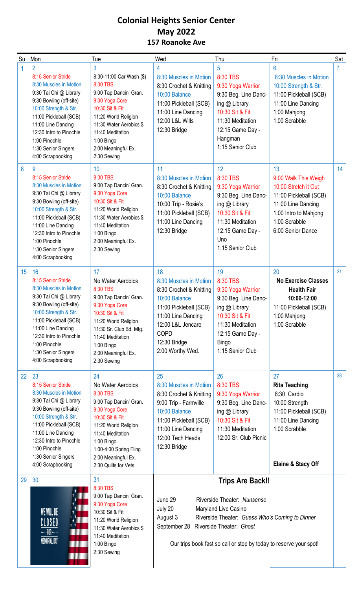### **Colonial Heights Senior Center May 2022 157 Roanoke Ave**

| Su               | Mon                                                                                                                                                                                                                                                                                  | Tue                                                                                                                                                                                                                                   | Wed                                                                                                                                                                                                                                                                                   | Thu                                                                                                                                                                         | Fri                                                                                                                                                               | Sat |
|------------------|--------------------------------------------------------------------------------------------------------------------------------------------------------------------------------------------------------------------------------------------------------------------------------------|---------------------------------------------------------------------------------------------------------------------------------------------------------------------------------------------------------------------------------------|---------------------------------------------------------------------------------------------------------------------------------------------------------------------------------------------------------------------------------------------------------------------------------------|-----------------------------------------------------------------------------------------------------------------------------------------------------------------------------|-------------------------------------------------------------------------------------------------------------------------------------------------------------------|-----|
|                  | $\overline{2}$<br>8:15 Senior Stride<br>8:30 Muscles in Motion<br>9:30 Tai Chi @ Library<br>9:30 Bowling (off-site)<br>10:00 Strength & Str.<br>11:00 Pickleball (SCB)<br>11:00 Line Dancing<br>12:30 Intro to Pinochle<br>1:00 Pinochle<br>1:30 Senior Singers<br>4:00 Scrapbooking | 3<br>8:30-11:00 Car Wash (\$)<br>8:30 TBS<br>9:00 Tap Dancin' Gran.<br>9:30 Yoga Core<br>10:30 Sit & Fit<br>11:20 World Religion<br>11:30 Water Aerobics \$<br>11:40 Meditation<br>1:00 Bingo<br>2:00 Meaningful Ex.<br>2:30 Sewing   | 4<br>8:30 Muscles in Motion<br>8:30 Crochet & Knitting<br>10:00 Balance<br>11:00 Pickleball (SCB)<br>11:00 Line Dancing<br>12:00 L&L Wills<br>12:30 Bridge                                                                                                                            | 5<br>8:30 TBS<br>9:30 Yoga Warrior<br>9:30 Beg. Line Danc-<br>ing @ Library<br>10:30 Sit & Fit<br>11:30 Meditation<br>12:15 Game Day -<br>Hangman<br>1:15 Senior Club       | 6<br>8:30 Muscles in Motion<br>10:00 Strength & Str.<br>11:00 Pickleball (SCB)<br>11:00 Line Dancing<br>1:00 Mahjong<br>1:00 Scrabble                             |     |
| 8                | 9<br>8:15 Senior Stride<br>8:30 Muscles in Motion<br>9:30 Tai Chi @ Library<br>9:30 Bowling (off-site)<br>10:00 Strength & Str.<br>11:00 Pickleball (SCB)<br>11:00 Line Dancing<br>12:30 Intro to Pinochle<br>1:00 Pinochle<br>1:30 Senior Singers<br>4:00 Scrapbooking              | 10<br>8:30 TBS<br>9:00 Tap Dancin' Gran.<br>9:30 Yoga Core<br>10:30 Sit & Fit<br>11:20 World Religion<br>11:30 Water Aerobics \$<br>11:40 Meditation<br>1:00 Bingo<br>2:00 Meaningful Ex.<br>2:30 Sewing                              | 11<br>8:30 Muscles in Motion<br>8:30 Crochet & Knitting<br>10:00 Balance<br>10:00 Trip - Rosie's<br>11:00 Pickleball (SCB)<br>11:00 Line Dancing<br>12:30 Bridge                                                                                                                      | 12<br>8:30 TBS<br>9:30 Yoga Warrior<br>9:30 Beg. Line Danc-<br>ing @ Library<br>10:30 Sit & Fit<br>11:30 Meditation<br>12:15 Game Day -<br>Uno<br>1:15 Senior Club          | 13<br>9:00 Walk This Weigh<br>10:00 Stretch it Out<br>11:00 Pickleball (SCB)<br>11:00 Line Dancing<br>1:00 Intro to Mahjong<br>1:00 Scrabble<br>6:00 Senior Dance | 14  |
| 15 <sup>15</sup> | 16<br>8:15 Senior Stride<br>8:30 Muscles in Motion<br>9:30 Tai Chi @ Library<br>9:30 Bowling (off-site)<br>10:00 Strength & Str.<br>11:00 Pickleball (SCB)<br>11:00 Line Dancing<br>12:30 Intro to Pinochle<br>1:00 Pinochle<br>1:30 Senior Singers<br>4:00 Scrapbooking             | 17<br>No Water Aerobics<br>8:30 TBS<br>9:00 Tap Dancin' Gran.<br>9:30 Yoga Core<br>10:30 Sit & Fit<br>11:20 World Religion<br>11:30 Sr. Club Bd. Mtg.<br>11:40 Meditation<br>1:00 Bingo<br>2:00 Meaningful Ex.<br>2:30 Sewing         | 18<br>8:30 Muscles in Motion<br>8:30 Crochet & Knitting<br>10:00 Balance<br>11:00 Pickleball (SCB)<br>11:00 Line Dancing<br>12:00 L&L Jencare<br><b>COPD</b><br>12:30 Bridge<br>2:00 Worthy Wed.                                                                                      | 19<br>8:30 TBS<br>9:30 Yoga Warrior<br>9:30 Beg. Line Danc-<br>ing @ Library<br>10:30 Sit & Fit<br>11:30 Meditation<br>12:15 Game Day -<br><b>Bingo</b><br>1:15 Senior Club | 20<br><b>No Exercise Classes</b><br><b>Health Fair</b><br>10:00-12:00<br>11:00 Pickleball (SCB)<br>1:00 Mahjong<br>1:00 Scrabble                                  | 21  |
| 22               | 23<br>8:15 Senior Stride<br>8:30 Muscles in Motion<br>9:30 Tai Chi @ Library<br>9:30 Bowling (off-site)<br>10:00 Strength & Str.<br>11:00 Pickleball (SCB)<br>11:00 Line Dancing<br>12:30 Intro to Pinochle<br>1:00 Pinochle<br>1:30 Senior Singers<br>4:00 Scrapbooking             | 24<br>No Water Aerobics<br>8:30 TBS<br>9:00 Tap Dancin' Gran.<br>9:30 Yoga Core<br>10:30 Sit & Fit<br>11:20 World Religion<br>11:40 Meditation<br>1:00 Bingo<br>1:00-4:00 Spring Fling<br>2:00 Meaningful Ex.<br>2:30 Quilts for Vets | 25<br>8:30 Muscles in Motion<br>8:30 Crochet & Knitting<br>9:00 Trip - Farmville<br>10:00 Balance<br>11:00 Pickleball (SCB)<br>11:00 Line Dancing<br>12:00 Tech Heads<br>12:30 Bridge                                                                                                 | 26<br>8:30 TBS<br>9:30 Yoga Warrior<br>9:30 Beg. Line Danc-<br>ing $@$ Library<br>10:30 Sit & Fit<br>11:30 Meditation<br>12:00 Sr. Club Picnic                              | 27<br><b>Rita Teaching</b><br>8:30 Cardio<br>10:00 Strength<br>11:00 Pickleball (SCB)<br>11:00 Line Dancing<br>1:00 Scrabble<br>Elaine & Stacy Off                | 28  |
| 29               | 30<br>WE WILL BE<br>CLOSED<br>FOR<br><b>MEMORIAL DAY</b><br>$\mathbf{H}$                                                                                                                                                                                                             | 31<br>8:30 TBS<br>9:00 Tap Dancin' Gran.<br>9:30 Yoga Core<br>10:30 Sit & Fit<br>11:20 World Religion<br>11:30 Water Aerobics \$<br>11:40 Meditation<br>1:00 Bingo<br>2:30 Sewing                                                     | <b>Trips Are Back!!</b><br>June 29<br>Riverside Theater: Nunsense<br>July 20<br>Maryland Live Casino<br>August 3<br>Riverside Theater: Guess Who's Coming to Dinner<br>Riverside Theater: Ghost<br>September 28<br>Our trips book fast so call or stop by today to reserve your spot! |                                                                                                                                                                             |                                                                                                                                                                   |     |